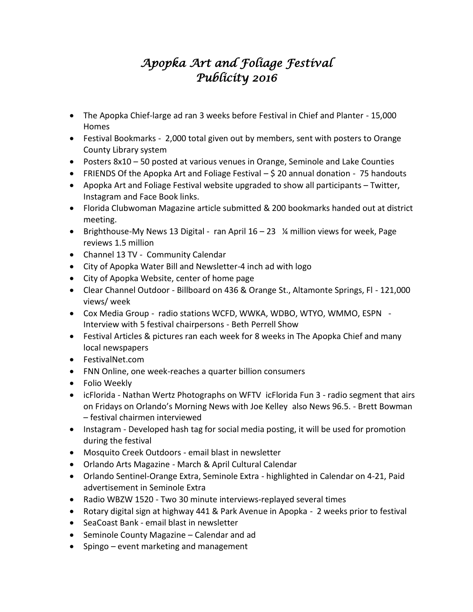## *Apopka Art and Foliage Festival Publicity 2016*

- The Apopka Chief-large ad ran 3 weeks before Festival in Chief and Planter 15,000 Homes
- Festival Bookmarks 2,000 total given out by members, sent with posters to Orange County Library system
- Posters 8x10 50 posted at various venues in Orange, Seminole and Lake Counties
- FRIENDS Of the Apopka Art and Foliage Festival  $-$  \$ 20 annual donation 75 handouts
- Apopka Art and Foliage Festival website upgraded to show all participants Twitter, Instagram and Face Book links.
- Florida Clubwoman Magazine article submitted & 200 bookmarks handed out at district meeting.
- **•** Brighthouse-My News 13 Digital ran April  $16 23$  ¼ million views for week, Page reviews 1.5 million
- Channel 13 TV Community Calendar
- City of Apopka Water Bill and Newsletter-4 inch ad with logo
- City of Apopka Website, center of home page
- Clear Channel Outdoor Billboard on 436 & Orange St., Altamonte Springs, Fl 121,000 views/ week
- Cox Media Group radio stations WCFD, WWKA, WDBO, WTYO, WMMO, ESPN Interview with 5 festival chairpersons - Beth Perrell Show
- Festival Articles & pictures ran each week for 8 weeks in The Apopka Chief and many local newspapers
- FestivalNet.com
- FNN Online, one week-reaches a quarter billion consumers
- Folio Weekly
- icFlorida Nathan Wertz Photographs on WFTV icFlorida Fun 3 radio segment that airs on Fridays on Orlando's Morning News with Joe Kelley also News 96.5. - Brett Bowman – festival chairmen interviewed
- Instagram Developed hash tag for social media posting, it will be used for promotion during the festival
- Mosquito Creek Outdoors email blast in newsletter
- Orlando Arts Magazine March & April Cultural Calendar
- Orlando Sentinel-Orange Extra, Seminole Extra highlighted in Calendar on 4-21, Paid advertisement in Seminole Extra
- Radio WBZW 1520 Two 30 minute interviews-replayed several times
- Rotary digital sign at highway 441 & Park Avenue in Apopka 2 weeks prior to festival
- SeaCoast Bank email blast in newsletter
- Seminole County Magazine Calendar and ad
- Spingo event marketing and management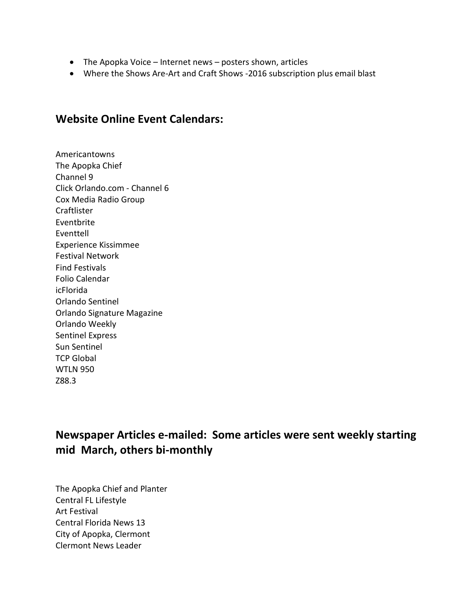- The Apopka Voice Internet news posters shown, articles
- Where the Shows Are-Art and Craft Shows -2016 subscription plus email blast

## **Website Online Event Calendars:**

Americantowns The Apopka Chief Channel 9 Click Orlando.com - Channel 6 Cox Media Radio Group **Craftlister** Eventbrite Eventtell Experience Kissimmee Festival Network Find Festivals Folio Calendar icFlorida Orlando Sentinel Orlando Signature Magazine Orlando Weekly Sentinel Express Sun Sentinel TCP Global WTLN 950 Z88.3

**Newspaper Articles e-mailed: Some articles were sent weekly starting mid March, others bi-monthly**

The Apopka Chief and Planter Central FL Lifestyle Art Festival Central Florida News 13 City of Apopka, Clermont Clermont News Leader